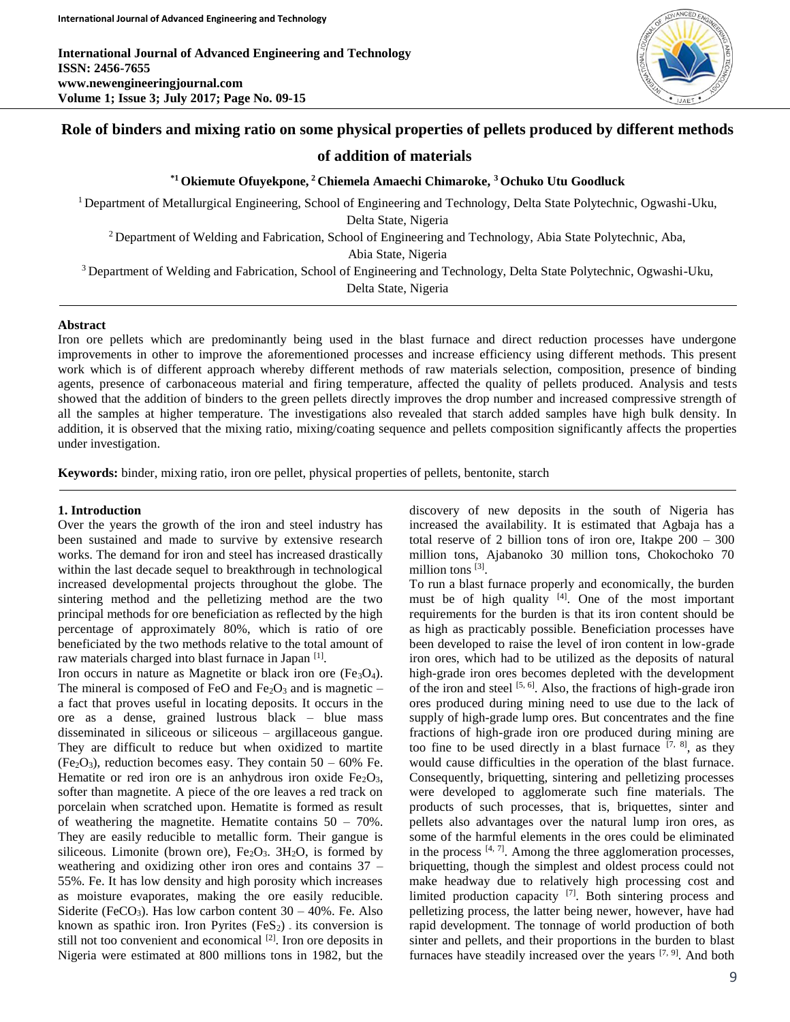

# **Role of binders and mixing ratio on some physical properties of pellets produced by different methods**

# **of addition of materials**

### **\*1 Okiemute Ofuyekpone, <sup>2</sup>Chiemela Amaechi Chimaroke, <sup>3</sup>Ochuko Utu Goodluck**

<sup>1</sup>Department of Metallurgical Engineering, School of Engineering and Technology, Delta State Polytechnic, Ogwashi-Uku, Delta State, Nigeria <sup>2</sup> Department of Welding and Fabrication, School of Engineering and Technology, Abia State Polytechnic, Aba, Abia State, Nigeria

<sup>3</sup> Department of Welding and Fabrication, School of Engineering and Technology, Delta State Polytechnic, Ogwashi-Uku, Delta State, Nigeria

#### **Abstract**

Iron ore pellets which are predominantly being used in the blast furnace and direct reduction processes have undergone improvements in other to improve the aforementioned processes and increase efficiency using different methods. This present work which is of different approach whereby different methods of raw materials selection, composition, presence of binding agents, presence of carbonaceous material and firing temperature, affected the quality of pellets produced. Analysis and tests showed that the addition of binders to the green pellets directly improves the drop number and increased compressive strength of all the samples at higher temperature. The investigations also revealed that starch added samples have high bulk density. In addition, it is observed that the mixing ratio, mixing/coating sequence and pellets composition significantly affects the properties under investigation.

**Keywords:** binder, mixing ratio, iron ore pellet, physical properties of pellets, bentonite, starch

#### **1. Introduction**

Over the years the growth of the iron and steel industry has been sustained and made to survive by extensive research works. The demand for iron and steel has increased drastically within the last decade sequel to breakthrough in technological increased developmental projects throughout the globe. The sintering method and the pelletizing method are the two principal methods for ore beneficiation as reflected by the high percentage of approximately 80%, which is ratio of ore beneficiated by the two methods relative to the total amount of raw materials charged into blast furnace in Japan [1].

Iron occurs in nature as Magnetite or black iron ore  $(Fe<sub>3</sub>O<sub>4</sub>)$ . The mineral is composed of FeO and  $Fe<sub>2</sub>O<sub>3</sub>$  and is magnetic – a fact that proves useful in locating deposits. It occurs in the ore as a dense, grained lustrous black – blue mass disseminated in siliceous or siliceous – argillaceous gangue. They are difficult to reduce but when oxidized to martite  $(Fe<sub>2</sub>O<sub>3</sub>)$ , reduction becomes easy. They contain 50 – 60% Fe. Hematite or red iron ore is an anhydrous iron oxide  $Fe<sub>2</sub>O<sub>3</sub>$ , softer than magnetite. A piece of the ore leaves a red track on porcelain when scratched upon. Hematite is formed as result of weathering the magnetite. Hematite contains 50 – 70%. They are easily reducible to metallic form. Their gangue is siliceous. Limonite (brown ore),  $Fe<sub>2</sub>O<sub>3</sub>$ .  $3H<sub>2</sub>O$ , is formed by weathering and oxidizing other iron ores and contains 37 – 55%. Fe. It has low density and high porosity which increases as moisture evaporates, making the ore easily reducible. Siderite (FeCO<sub>3</sub>). Has low carbon content  $30 - 40\%$ . Fe. Also known as spathic iron. Iron Pyrites  $(F \in S_2)$  its conversion is still not too convenient and economical  $[2]$ . Iron ore deposits in Nigeria were estimated at 800 millions tons in 1982, but the

discovery of new deposits in the south of Nigeria has increased the availability. It is estimated that Agbaja has a total reserve of 2 billion tons of iron ore, Itakpe 200 – 300 million tons, Ajabanoko 30 million tons, Chokochoko 70 million tons<sup>[3]</sup>.

To run a blast furnace properly and economically, the burden must be of high quality [4]. One of the most important requirements for the burden is that its iron content should be as high as practicably possible. Beneficiation processes have been developed to raise the level of iron content in low-grade iron ores, which had to be utilized as the deposits of natural high-grade iron ores becomes depleted with the development of the iron and steel  $[5, 6]$ . Also, the fractions of high-grade iron ores produced during mining need to use due to the lack of supply of high-grade lump ores. But concentrates and the fine fractions of high-grade iron ore produced during mining are too fine to be used directly in a blast furnace  $[7, 8]$ , as they would cause difficulties in the operation of the blast furnace. Consequently, briquetting, sintering and pelletizing processes were developed to agglomerate such fine materials. The products of such processes, that is, briquettes, sinter and pellets also advantages over the natural lump iron ores, as some of the harmful elements in the ores could be eliminated in the process  $[4, 7]$ . Among the three agglomeration processes, briquetting, though the simplest and oldest process could not make headway due to relatively high processing cost and limited production capacity [7]. Both sintering process and pelletizing process, the latter being newer, however, have had rapid development. The tonnage of world production of both sinter and pellets, and their proportions in the burden to blast furnaces have steadily increased over the years  $[7, 9]$ . And both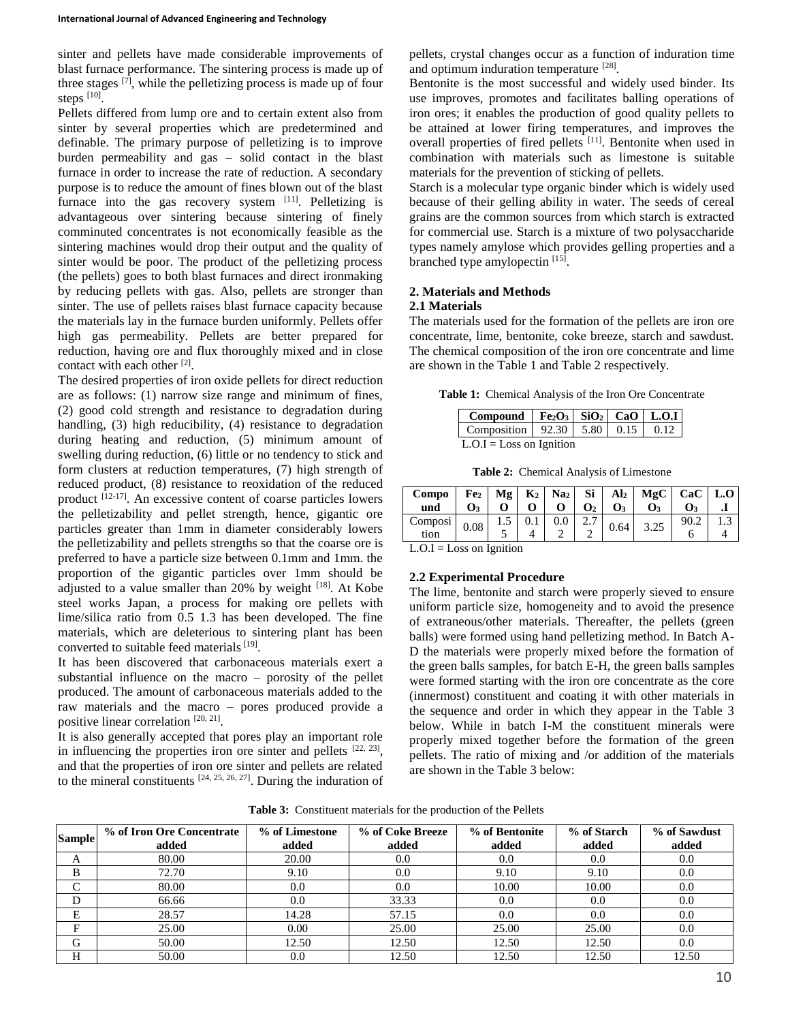sinter and pellets have made considerable improvements of blast furnace performance. The sintering process is made up of three stages  $[7]$ , while the pelletizing process is made up of four steps  $^{[10]}$ .

Pellets differed from lump ore and to certain extent also from sinter by several properties which are predetermined and definable. The primary purpose of pelletizing is to improve burden permeability and gas – solid contact in the blast furnace in order to increase the rate of reduction. A secondary purpose is to reduce the amount of fines blown out of the blast furnace into the gas recovery system  $[11]$ . Pelletizing is advantageous over sintering because sintering of finely comminuted concentrates is not economically feasible as the sintering machines would drop their output and the quality of sinter would be poor. The product of the pelletizing process (the pellets) goes to both blast furnaces and direct ironmaking by reducing pellets with gas. Also, pellets are stronger than sinter. The use of pellets raises blast furnace capacity because the materials lay in the furnace burden uniformly. Pellets offer high gas permeability. Pellets are better prepared for reduction, having ore and flux thoroughly mixed and in close contact with each other<sup>[2]</sup>.

The desired properties of iron oxide pellets for direct reduction are as follows: (1) narrow size range and minimum of fines, (2) good cold strength and resistance to degradation during handling, (3) high reducibility, (4) resistance to degradation during heating and reduction, (5) minimum amount of swelling during reduction, (6) little or no tendency to stick and form clusters at reduction temperatures, (7) high strength of reduced product, (8) resistance to reoxidation of the reduced product <sup>[12-17]</sup>. An excessive content of coarse particles lowers the pelletizability and pellet strength, hence, gigantic ore particles greater than 1mm in diameter considerably lowers the pelletizability and pellets strengths so that the coarse ore is preferred to have a particle size between 0.1mm and 1mm. the proportion of the gigantic particles over 1mm should be adjusted to a value smaller than 20% by weight [18]. At Kobe steel works Japan, a process for making ore pellets with lime/silica ratio from 0.5 1.3 has been developed. The fine materials, which are deleterious to sintering plant has been converted to suitable feed materials [19].

It has been discovered that carbonaceous materials exert a substantial influence on the macro – porosity of the pellet produced. The amount of carbonaceous materials added to the raw materials and the macro – pores produced provide a positive linear correlation [20, 21].

It is also generally accepted that pores play an important role in influencing the properties iron ore sinter and pellets  $[22, 23]$ , and that the properties of iron ore sinter and pellets are related to the mineral constituents  $[24, 25, 26, 27]$ . During the induration of

pellets, crystal changes occur as a function of induration time and optimum induration temperature [28].

Bentonite is the most successful and widely used binder. Its use improves, promotes and facilitates balling operations of iron ores; it enables the production of good quality pellets to be attained at lower firing temperatures, and improves the overall properties of fired pellets [11]. Bentonite when used in combination with materials such as limestone is suitable materials for the prevention of sticking of pellets.

Starch is a molecular type organic binder which is widely used because of their gelling ability in water. The seeds of cereal grains are the common sources from which starch is extracted for commercial use. Starch is a mixture of two polysaccharide types namely amylose which provides gelling properties and a branched type amylopectin [15].

# **2. Materials and Methods**

### **2.1 Materials**

The materials used for the formation of the pellets are iron ore concentrate, lime, bentonite, coke breeze, starch and sawdust. The chemical composition of the iron ore concentrate and lime are shown in the Table 1 and Table 2 respectively.

**Table 1:** Chemical Analysis of the Iron Ore Concentrate

| Compound   $Fe2O3$   $SiO2$   CaO   L.O.I        |  |  |  |  |  |  |  |  |  |
|--------------------------------------------------|--|--|--|--|--|--|--|--|--|
| Composition   $92.30$   $5.80$   $0.15$   $0.12$ |  |  |  |  |  |  |  |  |  |
| $L.O.I = Loss on I$ gnition                      |  |  |  |  |  |  |  |  |  |

**Table 2:** Chemical Analysis of Limestone

| Compo<br>und    |      |     |         | 0 <sub>2</sub>   | $\mathbf{O}_3$ | $\begin{bmatrix} Fe_2 \end{bmatrix}$ Mg $\begin{bmatrix} K_2 \end{bmatrix}$ Na <sub>2</sub> Si Al <sub>2</sub> MgC CaC L.O<br>О3 |  |
|-----------------|------|-----|---------|------------------|----------------|----------------------------------------------------------------------------------------------------------------------------------|--|
| Composi<br>tion | 0.08 | L.5 | $0.0\,$ | 2.7 <sub>1</sub> | 0.64           | 3.25                                                                                                                             |  |

 $L.O.I = Loss on Ignition$ 

# **2.2 Experimental Procedure**

The lime, bentonite and starch were properly sieved to ensure uniform particle size, homogeneity and to avoid the presence of extraneous/other materials. Thereafter, the pellets (green balls) were formed using hand pelletizing method. In Batch A-D the materials were properly mixed before the formation of the green balls samples, for batch E-H, the green balls samples were formed starting with the iron ore concentrate as the core (innermost) constituent and coating it with other materials in the sequence and order in which they appear in the Table 3 below. While in batch I-M the constituent minerals were properly mixed together before the formation of the green pellets. The ratio of mixing and /or addition of the materials are shown in the Table 3 below:

**Table 3:** Constituent materials for the production of the Pellets

| <b>Sample</b> | % of Iron Ore Concentrate | % of Limestone | % of Coke Breeze | % of Bentonite | % of Starch | % of Sawdust |  |
|---------------|---------------------------|----------------|------------------|----------------|-------------|--------------|--|
|               | added                     | added          | added            | added          | added       | added        |  |
| A             | 80.00                     | 20.00          | 0.0              | 0.0            | 0.0         | 0.0          |  |
| B             | 72.70                     | 9.10           | 0.0              | 9.10           | 9.10        | 0.0          |  |
| C             | 80.00                     | 0.0            | 0.0              | 10.00          | 10.00       | 0.0          |  |
| D             | 66.66                     | 0.0            | 33.33            | 0.0            | 0.0         | 0.0          |  |
| E             | 28.57                     | 14.28          | 57.15            | 0.0            | 0.0         | 0.0          |  |
| Е             | 25.00                     | 0.00           | 25.00            | 25.00          | 25.00       | 0.0          |  |
| G             | 50.00                     | 12.50          | 12.50            | 12.50          | 12.50       | 0.0          |  |
| Н             | 50.00                     | 0.0            | 12.50            | 12.50          | 12.50       | 12.50        |  |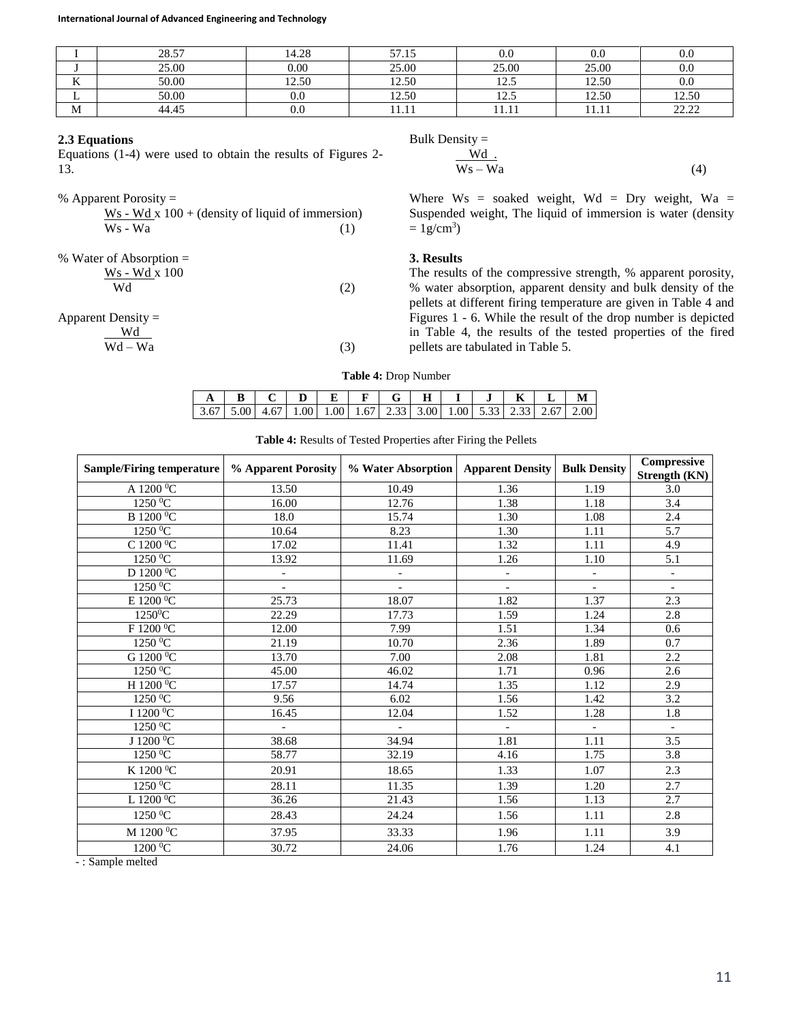**International Journal of Advanced Engineering and Technology**

|                  | 2057<br>20.J | 4.28     | $\epsilon$ $\tau$<br>- - - - - | $\rm 0.0$               | $\rm 0.0$           | O.C                   |
|------------------|--------------|----------|--------------------------------|-------------------------|---------------------|-----------------------|
|                  | 25.00        | 0.00     | 25.00                          | 25.00                   | 25.00               | $\rm 0.0$             |
| <b>TT</b><br>лx. | 50.00        | 12.50    | 12.50                          | ن که 1                  | 12.50               | U.U                   |
| ∸                | 50.00        | 0.C      | 12.50                          | $\sim$ $\sim$<br>ن که 1 | 12.50               | 12.50                 |
| M                | 44.45        | $_{0.0}$ | 11.II                          | .                       | $-1$ $-1$ $-1$<br>. | 22.22<br><u>_____</u> |

#### **2.3 Equations**

Equations (1-4) were used to obtain the results of Figures 2- 13.

| % Apparent Porosity $=$                             |     |
|-----------------------------------------------------|-----|
| $W_s$ - Wd x 100 + (density of liquid of immersion) |     |
| Ws - Wa                                             | (1) |
| % Water of Absorption $=$                           |     |
| Ws - Wd x 100                                       |     |
| Wd                                                  | (2) |
|                                                     |     |

### Apparent Density =

$$
\frac{\text{Wd}}{\text{Wd} - \text{Wa}}\tag{3}
$$

Bulk Density = Wd.  $Ws - Wa$  (4)

Where  $Ws = soaked weight$ ,  $Wd = Dry weight$ ,  $Wa =$ Suspended weight, The liquid of immersion is water (density  $= 1$ g/cm<sup>3</sup>)

#### **3. Results**

The results of the compressive strength, % apparent porosity, % water absorption, apparent density and bulk density of the pellets at different firing temperature are given in Table 4 and Figures 1 - 6. While the result of the drop number is depicted in Table 4, the results of the tested properties of the fired pellets are tabulated in Table 5.

**Table 4:** Drop Number

|               |  |                                                                           | Е. |  | н. |  |  |  |
|---------------|--|---------------------------------------------------------------------------|----|--|----|--|--|--|
| $1,3,67$ 5 00 |  | .67   1.00   1.00   1.67   2.33   3.00   1.00   5.33   2.33   2.67   2.00 |    |  |    |  |  |  |

**Table 4:** Results of Tested Properties after Firing the Pellets

| <b>Sample/Firing temperature</b> | % Apparent Porosity      | % Water Absorption       | <b>Apparent Density</b>  | <b>Bulk Density</b>      | Compressive<br>Strength (KN) |
|----------------------------------|--------------------------|--------------------------|--------------------------|--------------------------|------------------------------|
| A 1200 °C                        | 13.50                    | 10.49                    | 1.36                     | 1.19                     | 3.0                          |
| $1250\,^0\overline{C}$           | 16.00                    | 12.76                    | 1.38                     | 1.18                     | 3.4                          |
| B 1200 °C                        | 18.0                     | 15.74                    | 1.30                     | 1.08                     | 2.4                          |
| $1250\,^0C$                      | 10.64                    | 8.23                     | 1.30                     | 1.11                     | 5.7                          |
| C 1200 $\overline{0C}$           | 17.02                    | 11.41                    | 1.32                     | 1.11                     | 4.9                          |
| $1250\,^0C$                      | 13.92                    | 11.69                    | 1.26                     | 1.10                     | 5.1                          |
| D $1200\,^0C$                    | $\blacksquare$           | $\overline{\phantom{a}}$ | $\overline{\phantom{a}}$ | $\overline{\phantom{a}}$ | $\overline{\phantom{a}}$     |
| $1250\text{ °C}$                 | $\overline{\phantom{a}}$ | $\overline{\phantom{0}}$ | $\overline{\phantom{a}}$ | $\sim$                   | $\overline{\phantom{a}}$     |
| E $1200\,^0C$                    | 25.73                    | 18.07                    | 1.82                     | 1.37                     | 2.3                          |
| $1250^0C$                        | 22.29                    | 17.73                    | 1.59                     | 1.24                     | 2.8                          |
| F 1200 °C                        | 12.00                    | 7.99                     | 1.51                     | 1.34                     | 0.6                          |
| $1250\,^0C$                      | 21.19                    | 10.70                    | 2.36                     | 1.89                     | 0.7                          |
| G 1200 <sup>0</sup> C            | 13.70                    | 7.00                     | 2.08                     | 1.81                     | 2.2                          |
| $1250\text{ °C}$                 | 45.00                    | 46.02                    | 1.71                     | 0.96                     | 2.6                          |
| H 1200 °C                        | 17.57                    | 14.74                    | 1.35                     | 1.12                     | 2.9                          |
| 1250 <sup>0</sup> C              | 9.56                     | 6.02                     | 1.56                     | 1.42                     | 3.2                          |
| I 1200 °C                        | 16.45                    | 12.04                    | 1.52                     | 1.28                     | 1.8                          |
| $1250\,^0C$                      | $\overline{\phantom{a}}$ | $\overline{\phantom{a}}$ | $\overline{\phantom{a}}$ | $\overline{a}$           | $\overline{a}$               |
| J $1200\overline{{}^0C}$         | 38.68                    | 34.94                    | 1.81                     | 1.11                     | 3.5                          |
| 1250 <sup>0</sup> C              | 58.77                    | 32.19                    | 4.16                     | 1.75                     | 3.8                          |
| K $1200\,^0\mathrm{C}$           | 20.91                    | 18.65                    | 1.33                     | 1.07                     | 2.3                          |
| $1250\,^0C$                      | 28.11                    | 11.35                    | 1.39                     | 1.20                     | 2.7                          |
| L $1200\,^0C$                    | 36.26                    | 21.43                    | 1.56                     | 1.13                     | 2.7                          |
| 1250 <sup>0</sup> C              | 28.43                    | 24.24                    | 1.56                     | 1.11                     | 2.8                          |
| M 1200 °C                        | 37.95                    | 33.33                    | 1.96                     | 1.11                     | 3.9                          |
| $1200\,^0C$                      | 30.72                    | 24.06                    | 1.76                     | 1.24                     | 4.1                          |

- : Sample melted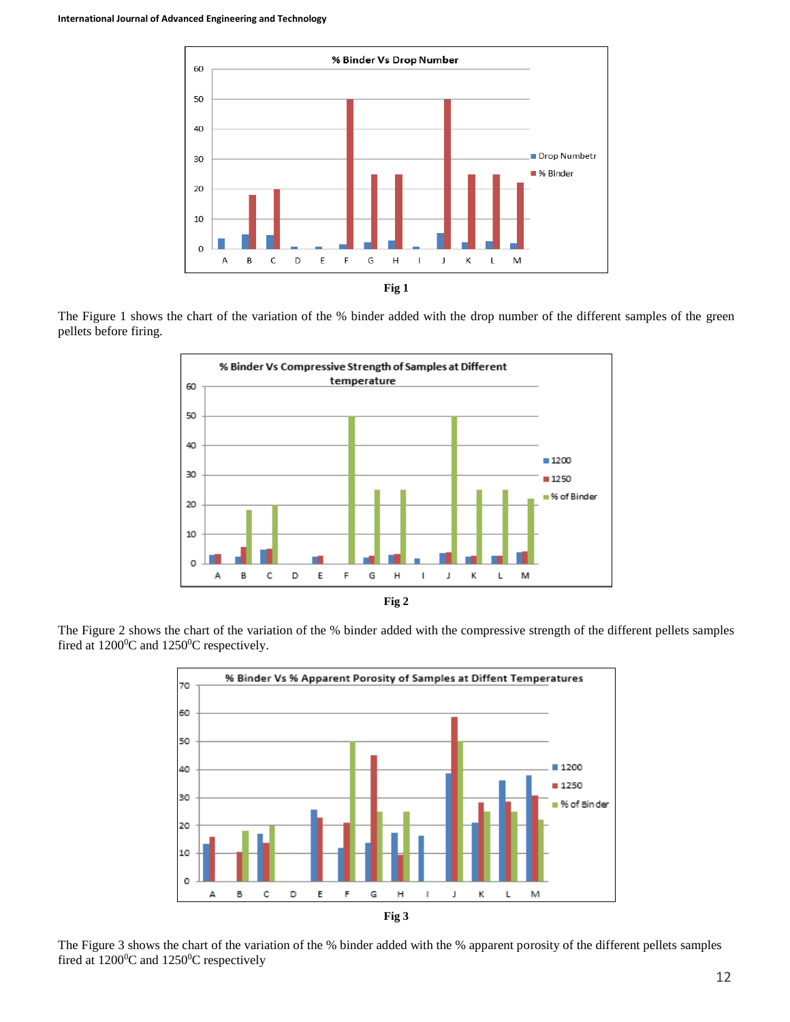

The Figure 1 shows the chart of the variation of the % binder added with the drop number of the different samples of the green pellets before firing.



The Figure 2 shows the chart of the variation of the % binder added with the compressive strength of the different pellets samples fired at  $1200^0C$  and  $1250^0C$  respectively.



The Figure 3 shows the chart of the variation of the % binder added with the % apparent porosity of the different pellets samples fired at  $1200^{\circ}$ C and  $1250^{\circ}$ C respectively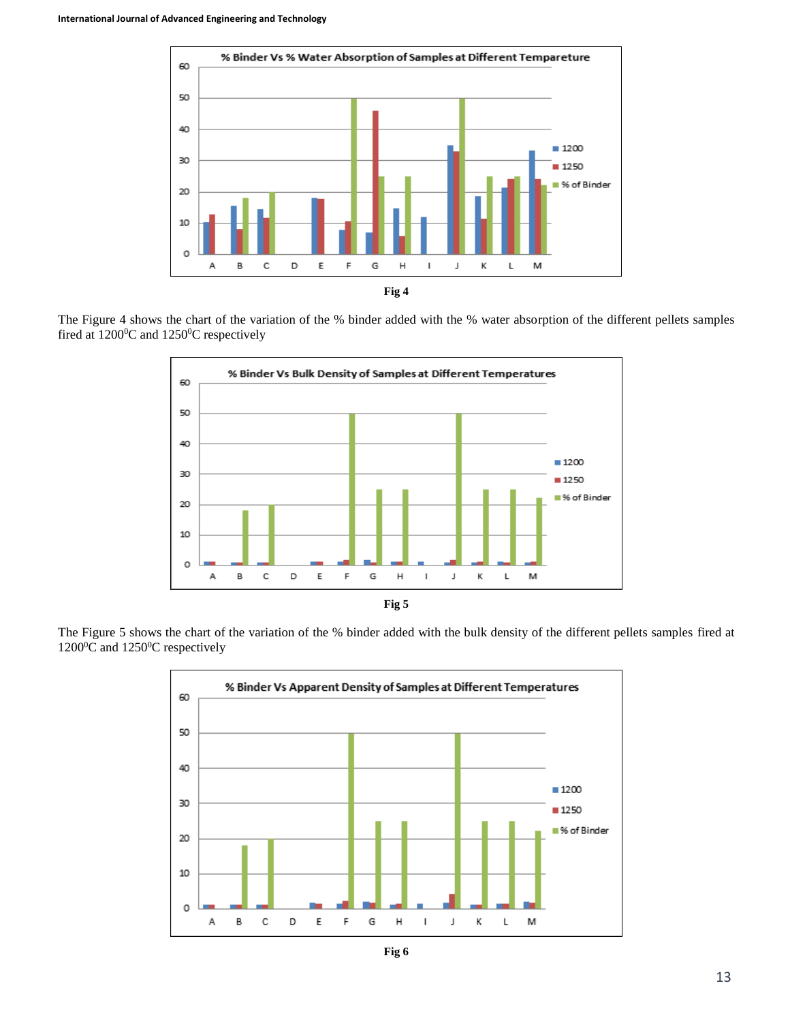

The Figure 4 shows the chart of the variation of the % binder added with the % water absorption of the different pellets samples fired at  $1200^{\circ}$ C and  $1250^{\circ}$ C respectively



The Figure 5 shows the chart of the variation of the % binder added with the bulk density of the different pellets samples fired at 1200<sup>0</sup>C and 1250<sup>0</sup>C respectively



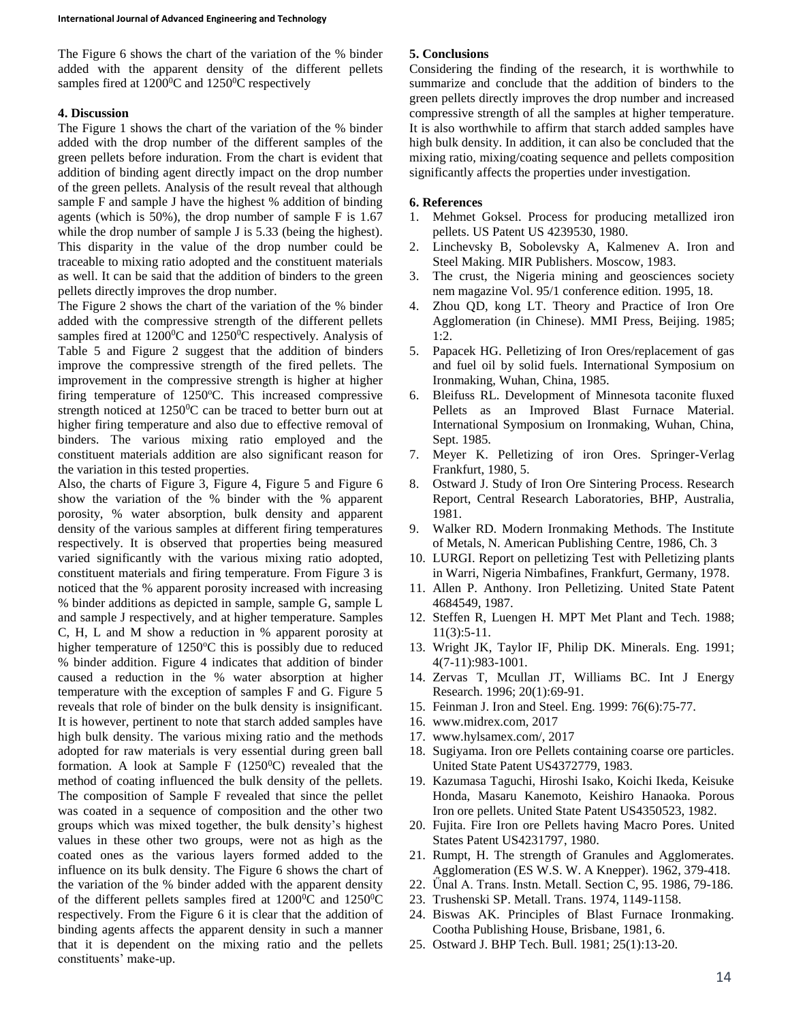The Figure 6 shows the chart of the variation of the % binder added with the apparent density of the different pellets samples fired at  $1200^{\circ}$ C and  $1250^{\circ}$ C respectively

## **4. Discussion**

The Figure 1 shows the chart of the variation of the % binder added with the drop number of the different samples of the green pellets before induration. From the chart is evident that addition of binding agent directly impact on the drop number of the green pellets. Analysis of the result reveal that although sample F and sample J have the highest % addition of binding agents (which is 50%), the drop number of sample F is 1.67 while the drop number of sample J is 5.33 (being the highest). This disparity in the value of the drop number could be traceable to mixing ratio adopted and the constituent materials as well. It can be said that the addition of binders to the green pellets directly improves the drop number.

The Figure 2 shows the chart of the variation of the % binder added with the compressive strength of the different pellets samples fired at  $1200^{\circ}$ C and  $1250^{\circ}$ C respectively. Analysis of Table 5 and Figure 2 suggest that the addition of binders improve the compressive strength of the fired pellets. The improvement in the compressive strength is higher at higher firing temperature of  $1250^{\circ}$ C. This increased compressive strength noticed at  $1250^{\circ}$ C can be traced to better burn out at higher firing temperature and also due to effective removal of binders. The various mixing ratio employed and the constituent materials addition are also significant reason for the variation in this tested properties.

Also, the charts of Figure 3, Figure 4, Figure 5 and Figure 6 show the variation of the % binder with the % apparent porosity, % water absorption, bulk density and apparent density of the various samples at different firing temperatures respectively. It is observed that properties being measured varied significantly with the various mixing ratio adopted, constituent materials and firing temperature. From Figure 3 is noticed that the % apparent porosity increased with increasing % binder additions as depicted in sample, sample G, sample L and sample J respectively, and at higher temperature. Samples C, H, L and M show a reduction in % apparent porosity at higher temperature of  $1250^{\circ}$ C this is possibly due to reduced % binder addition. Figure 4 indicates that addition of binder caused a reduction in the % water absorption at higher temperature with the exception of samples F and G. Figure 5 reveals that role of binder on the bulk density is insignificant. It is however, pertinent to note that starch added samples have high bulk density. The various mixing ratio and the methods adopted for raw materials is very essential during green ball formation. A look at Sample F  $(1250^{\circ}C)$  revealed that the method of coating influenced the bulk density of the pellets. The composition of Sample F revealed that since the pellet was coated in a sequence of composition and the other two groups which was mixed together, the bulk density's highest values in these other two groups, were not as high as the coated ones as the various layers formed added to the influence on its bulk density. The Figure 6 shows the chart of the variation of the % binder added with the apparent density of the different pellets samples fired at  $1200^{\circ}$ C and  $1250^{\circ}$ C respectively. From the Figure 6 it is clear that the addition of binding agents affects the apparent density in such a manner that it is dependent on the mixing ratio and the pellets constituents' make-up.

## **5. Conclusions**

Considering the finding of the research, it is worthwhile to summarize and conclude that the addition of binders to the green pellets directly improves the drop number and increased compressive strength of all the samples at higher temperature. It is also worthwhile to affirm that starch added samples have high bulk density. In addition, it can also be concluded that the mixing ratio, mixing/coating sequence and pellets composition significantly affects the properties under investigation.

### **6. References**

- 1. Mehmet Goksel. Process for producing metallized iron pellets. US Patent US 4239530, 1980.
- 2. Linchevsky B, Sobolevsky A, Kalmenev A. Iron and Steel Making. MIR Publishers. Moscow, 1983.
- 3. The crust, the Nigeria mining and geosciences society nem magazine Vol. 95/1 conference edition. 1995, 18.
- 4. Zhou QD, kong LT. Theory and Practice of Iron Ore Agglomeration (in Chinese). MMI Press, Beijing. 1985; 1:2.
- 5. Papacek HG. Pelletizing of Iron Ores/replacement of gas and fuel oil by solid fuels. International Symposium on Ironmaking, Wuhan, China, 1985.
- 6. Bleifuss RL. Development of Minnesota taconite fluxed Pellets as an Improved Blast Furnace Material. International Symposium on Ironmaking, Wuhan, China, Sept. 1985.
- 7. Meyer K. Pelletizing of iron Ores. Springer-Verlag Frankfurt, 1980, 5.
- 8. Ostward J. Study of Iron Ore Sintering Process. Research Report, Central Research Laboratories, BHP, Australia, 1981.
- 9. Walker RD. Modern Ironmaking Methods. The Institute of Metals, N. American Publishing Centre, 1986, Ch. 3
- 10. LURGI. Report on pelletizing Test with Pelletizing plants in Warri, Nigeria Nimbafines, Frankfurt, Germany, 1978.
- 11. Allen P. Anthony. Iron Pelletizing. United State Patent 4684549, 1987.
- 12. Steffen R, Luengen H. MPT Met Plant and Tech. 1988; 11(3):5-11.
- 13. Wright JK, Taylor IF, Philip DK. Minerals. Eng. 1991; 4(7-11):983-1001.
- 14. Zervas T, Mcullan JT, Williams BC. Int J Energy Research. 1996; 20(1):69-91.
- 15. Feinman J. Iron and Steel. Eng. 1999: 76(6):75-77.
- 16. www.midrex.com, 2017
- 17. www.hylsamex.com/, 2017
- 18. Sugiyama. Iron ore Pellets containing coarse ore particles. United State Patent US4372779, 1983.
- 19. Kazumasa Taguchi, Hiroshi Isako, Koichi Ikeda, Keisuke Honda, Masaru Kanemoto, Keishiro Hanaoka. Porous Iron ore pellets. United State Patent US4350523, 1982.
- 20. Fujita. Fire Iron ore Pellets having Macro Pores. United States Patent US4231797, 1980.
- 21. Rumpt, H. The strength of Granules and Agglomerates. Agglomeration (ES W.S. W. A Knepper). 1962, 379-418.
- 22. Űnal A. Trans. Instn. Metall. Section C, 95. 1986, 79-186.
- 23. Trushenski SP. Metall. Trans. 1974, 1149-1158.
- 24. Biswas AK. Principles of Blast Furnace Ironmaking. Cootha Publishing House, Brisbane, 1981, 6.
- 25. Ostward J. BHP Tech. Bull. 1981; 25(1):13-20.